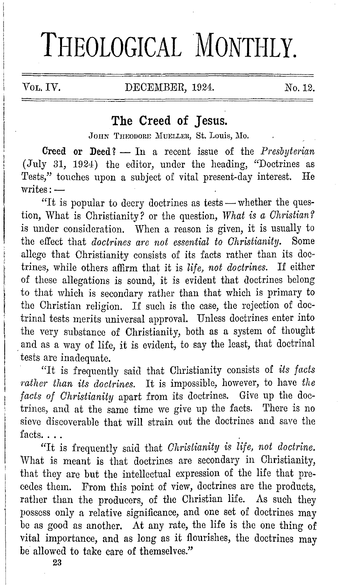# **THEOLOGICAL MONTHLY.**

VOL. IV. DECEMBER, 1924. No. 12.

# **The Creed of Jesus.**

JOHN THEODORE MUELLER, St. Louis, Mo.

Creed or Deed? - In a recent issue of the *Presbyterian* (July 31, 1924) the editor, under the heading, "Doctrines as Tests," touches upon a subject of vital present-day interest. He writes:-

"It is popular to decry doctrines as tests - whether the question, What is Christianity? or the question, *What is a Christian?*  is under consideration. When a reason is given, it is usually to the effect that *doctrines are not essential to Christianity.* Some allege that Christianity consists of its facts rather than its doctrines, while others affirm that it is *life, not doctrines.* I£ either of these allegations is sound, it is evident that doctrines belong to that which is secondary rather than that which is primary to the Christian religion. If such is the case, the rejection of doctrinal tests merits universal approval. Unless doctrines enter into the very substance of Christianity, both as a system of thought . and as a way of life, it is evident, to say the least, that doctrinal tests are inadequate.

· "It is frequently said that Christianity consists of *its facts rather than its doctrines.* It is impossible, however, to have *the facts of Christianity* apart from its doctrines. Give up the doctrines, and at the same time we give up the facts. There is no sieve discoverable that will strain out the doctrines and save the facts. $\ldots$ 

"It is frequently said that *Christianity is life, not doctrine*. What is meant is that doctrines are secondary in Christianity, that they are but the intellectual expression of the life that precedes them. From this point of view, doctrines are the products, rather than the producers, of the Christian life. As such they possess only a relative significance, and one set of doctrines may be as good as another. At any rate, the life is the one thing of vital importance, and as long as it flourishes, the doctrines may be allowed to take care of themselves."

**23**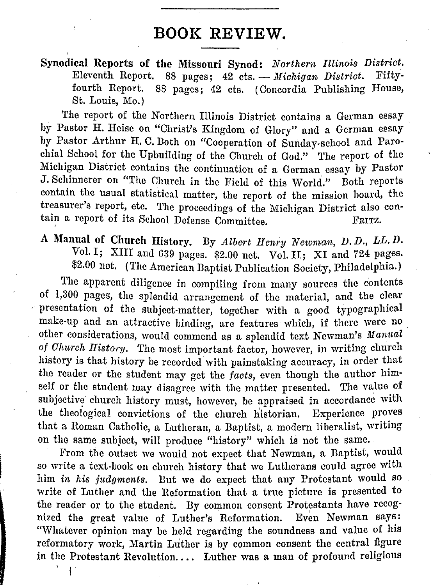## **BOOK REVIEW.**

**Synodical Reports of the Missouri Synod:** *Northern Illinois District.*  Eleventh Report. 88 pages; 42 cts. - *Michigan District*. Fiftyfourth Report. 88 pages; 42 cts. (Concordia Publishing House, St. Louis, Mo.)

The report of the Northern Illinois District contains a German essay by Pastor H. Heise on "Christ's Kingdom of Glory" and a German essay by Pastor Arthur H. C. Both on "Cooperation of Sunday-school and Parochial School for the Upbuilding of the Church of God." The report of the Michigan District contains the continuation of a German essay by Pastor J. Schinnerer on "The Church in the Field of this World." Both reports contain the usual statistical matter, the report of the mission board, the treasurer's report, etc. The proceedings of the Michigan District also contain a report of its School Defense Committee. FRITZ.

## A Manual of Church History. By *Albert Henry Newman, D. D., LL. D.*  Vol. I; XIII and 639 pages. \$2.00 net. Vol. II; XI and 724 pages. \$2.00 net. (The American Baptist Publication Society, Philadelphia.)

The apparent diligence in compiling from many sources the contents of 1,300 pages, the splendid arrangement of the material, and the clear presentation of the subject-matter, together with a good typographical make-up and an attractive binding, are features which, if there were no other considerations, would commend as a splendid text Newman's *Mamial of Ohurch History.* The most important factor, however, in writing church history is that history be recorded with painstaking accuracy, in order that the reader or the student may get the *facts*, even though the author himself or the student may disagree with the matter presented. The value of subjective church history must, however, be appraised in accordance with the theological convictions of the church historian. Experience proves that a Roman Catholic, a Lutheran, a Baptist, a modern liberalist, writing on the same subject, will produce "history" which is not the same.

From the outset we would not expect that Newman, a Baptist, would so write a text-book on church history that we Lutherans could agree with him *in his judgments.* But we do expect that any Protestant would so write of Luther and the Reformation that a true picture is presented to the reader or to the student. By common consent Protestants have recognized the great value of Luther's Reformation. Even Newman says: "Whatever opinion may be held regarding the soundness and value of his reformatory work, Martin Luther is by common consent the central figure in the Protestant Revolution.... Luther was a man of profound religious

 $\sqrt{1}$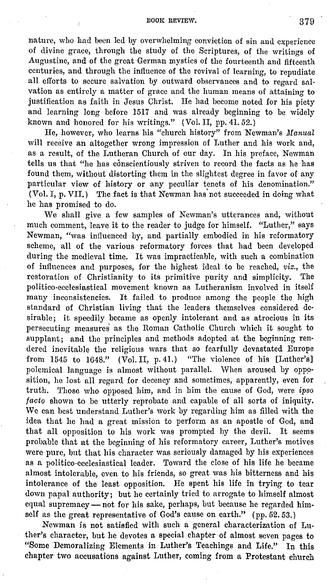#### BOOK REVIEW. 379

nature, who had been led by overwhelming conviction of sin and experience of divine grace, through the study of the Scriptures, of the writings of Augustine, and of the great German mystics of the fourteenth and fifteenth centuries, and through the influence of the revival of learning, to repudiate all efforts to secure salvation by outward observances and to regard salvation as entirely a matter of grace and the human means of attaining to justification as faith in Jesus Christ. He had become noted for his piety and learning long before 1517 and was already beginning to be widely known and honored for his writings." (Vol. II, pp. 41. 52.)

He, however, who learns his "church history" from Newman's Manual will receive an altogether wrong impression of Luther and his work and, as a result, of the Lutheran Church of our day. In his preface, Newman tells us that "he has conscientiously striven to record the facts as he has found them, without distorting them in the slightest degree in favor of any particular view of history or any peculiar tenets of his denomination." (Vol. I, p. VII.) The fact is that Newman has' not succeeded in doing what he has promised to do.

We shall give a few samples of Newman's utterances and, without much comment, leave it to the reader to judge for himself. "Luther," says Newman, "was influenced by, and partially embodied in his reformatory scheme, all of the various reformatory forces that had been developed during the medieval time. It was impracticable, with such a combination of influences and purposes, for the highest ideal to be reached, *viz.,* the restoration of Christianity to its primitive purity and simplicity. The politico-ecclesiastical movement known as Lutheranism involved in itself many inconsistencies. It failed to produce among the people the high standard of Christian living that the leaders themselves considered desirable; it speedily became as openly intolerant and as atrocious in its persecuting measures as the Roman Catholic Church which it sought to supplant; and the principles and methods adopted at the beginning rendered inevitable the religious wars that so fearfully devastated Europe from 1545 to 1648." (Vol. II, p. 41.) "The violence of his [Luther's] polemical language is almost without parallel. When aroused by opposition, he lost all regard for decency and sometimes, apparently, even for truth. Those who opposed him, and in him the cause of God, were *ipso* facto shown to be utterly reprobate and capable of all sorts of iniquity. We can best understand Luther's work by regarding him as filled with the idea that he had a great mission to perform as an apostle of God, and that all opposition to his work was prompted by the devil. It seems probable that at the beginning of his reformatory career, Luther's motives were pure, but that his character was seriously damaged by his experiences as a politico-ecclesiastical leader. Toward the close of his life he became almost intolerable, even to his friends, so great was his bitterness and his intolerance of the least opposition. He spent his life in trying to tear down papal authority; but he certainly tried to arrogate to himself almost equal supremacy - not for his sake, perhaps, but because he regarded himself as the great representative of God's cause on earth." (pp. 52.53.)

Newman is not satisfied with such a general characterization of Luther's character, but he devotes a special chapter of almost seven pages to "Some Demoralizing Elements in Luther's Teachings and Life." In this chapter two accusations against Luther, coming from a Protestant church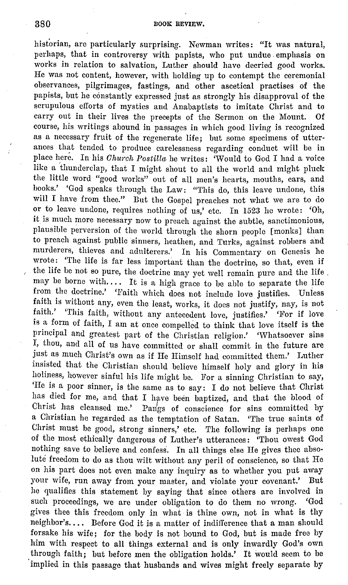historian, are particularly surprising. Newman writes: "It was natural, perhaps, that in controversy with papists, who put undue emphasis on works in relation to salvation, Luther should have decried good works. He was not content, however, with holding up to contempt the ceremonial observances, pilgrimages, fastings, and other ascetical practises of the papists, but he constantly expressed just as strongly his disapproval of the scrupulous efforts of mystics and Anabaptists to imitate Christ and to carry out in their lives the precepts of the Sermon on the Mount. Of course, his writings abound in passages **in** which good living is recognized as a necessary fruit of the regenerate life; but some specimens of utterances that tended to produce carelessness regarding conduct will be **in**  place here. In his *Olmrch Postilla* he writes: 'Would to God I had a voice like a 'thunderclap, that I might shout to all the world and might pluck the little word "good works" out of all men's hearts, mouths, ears, and hooks.' 'God speaks through the Law: "This do, this leave undone, this will I have from thee." But the Gospel preaches not what we are to do or to leave undone, requires nothing of us,' etc. In 1523 he wrote: 'Oh, it is much more necessary now to preach against the subtle, sanctimonious, plausible perversion of the world through the shorn people [monks] than to preach against public sinners, heathen, and Turks, against robbers and murderers, thieves and adulterers.' In his Commentary on Genesis he wrote: 'The life is far less important than the doctrine, so that, even if the life be not so pure, the doctrine may yet well remain pure and the life , may be borne with.... It is a high grace to be able to separate the life from the doctrine.' 'Faith which does not include love justifies. Unless faith is without any, even the least, works, it does not justify, nay, is not faith.' 'This faith, without any antecedent love, justifies.' 'For if love is a form of faith, I am at once compelled to think that love itself is the principal and greatest part of the Christian religion.' 'Whatsoever sins I, thou, and all of us have committed or shall commit in the future are just as much Christ's own as if He Himself had committed them.' Luther insisted that the Christian should believe himself holy and glory in his holiness, however sinful his life might he. For a sinning Christian to say, 'He is a poor sinner, is the same as to say: I do not believe that Christ has died for me, and that I have been baptized, and that the blood of Christ has cleansed me.' Pangs of conscience for sins committed by Pangs of conscience for sins committed by a Christian he regarded as the temptation of Satan. 'The true saints of Christ must be good, strong sinners,' etc. The following is perhaps one of the most ethically dangerous of Luther's utterances: 'Thou owest God nothing save to believe and confess. In all things else He gives thee absolute freedom to do as thou wilt without any peril of conscience, so that He on his part does not even make any inquiry as to whether you put away your wife, run away from your master, and violate your covenant.' Dut he qualifies this statement by saying that since others are involved in such proceedings, we are under obligation to do them no wrong. 'God gives thee this freedom only in what is thine own, not in what is thy neighbor's.... Before God it is a matter of indifference that a man should forsake his wife; for the body is not bound to God, but is made free by him with respect to all things external and is only inwardly God's own through faith; but before men the obligation holds.' It would seem to be implied in this passage that husbands and wives might freely separate by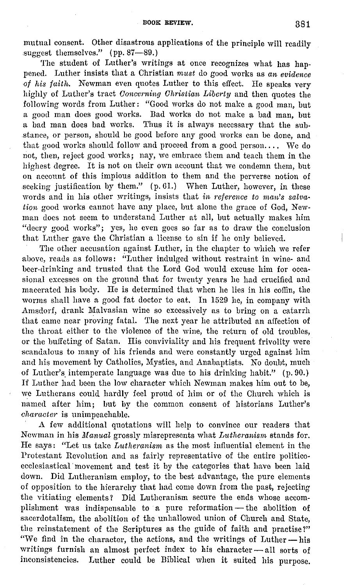mutual consent. Other disastrous applications of the principle will readily suggest themselves." (pp. 87-89.)

The student of Luther's writings at once recognizes what has happened. Luther insists that a Christian *must* do good works as *an evidence -0f his faith.* Newman even quotes Luther to this effect. He speaks very highly of Luther's tract *Concerning Christian Liberty* and then quotes the following words from Luther: "Good works do not make a good man, but a good man does good works. Bad works do not make a bad man, but a bad man does bad works. Thus it is always necessary that the sub- .stance, or person, should be good before any good works can be done, and that good works should follow and proceed from a good person.... We do not, then, reject good works; nay, we embrace them and teach them in the highest degree. It is not on their own account that we condemn them, but on account of this impious addition to them and the perverse notion of seeking justification by them."  $(p. 61.)$  When Luther, however, in these words and in his other writings, insists that *in reference to man's salvation* good works cannot have any place, but alone the grace of God, Newman does not seem to understand Luther at all, but actually makes him "decry good works"; yes, he even goes so far as to draw the conclusion that Luther gave the Christian a license to sin if he only believed.

The other accusation against Luther, in the chapter to which we refer above, reads as follows: ''Luther indulged without restraint in wine- and beer-drinking and trusted that the Lord God would excuse him for occasional excesses on the ground that for twenty years he had crucified and macerated his body. He is determined that when he lies in his coflin, the worms shall have a good fat doctor to eat. In 1529 he, in company with Amsdorf, drank Malvasian wine so excessively as to bring on a catarrh that came near proving fatal. The next year he attributed an affection of the throat either to the violence of the wine, the return of old troubles, or the buffeting of Satan. His conviviality and his frequent frivolity were scandalous to many of his friends and were constantly urged against him and his movement by Catholics, Mystics, and Anabaptists. No doubt, much of Luther's intemperate language was due to his drinking habit." (p. 90.) If Luther had been the low character which Newman makes him out to be, we Lutherans could hardly feel proud of him or of the Church which is named after him; but by the common consent of historians Luther's *character* is unimpeachable.

A few additional quotations will help to convince our readers that Newman in his *illanual* grossly misrepresents what *Lutheranisrn* stands for. He says: "Let us take *Lutheranism* as the most influential element in the Protestant Revolution and as fairly representative of the entire politicoecclesiastical movement and test it by the categories that have been laid down. Did Lutheranism employ, to the best advantage, the pure elements of opposition to the hierarchy that had come down from the past, rejecting the vitiating clements? Did Lutheranism secure the ends whose accomplishment was indispensable to a pure reformation - the abolition of sacerdotalism, the abolition of the unhallowed union of Church and State, the reinstatement of the Scriptures as the guide of faith and practise?" "We find in the character, the actions, and the writings of Luther - his writings furnish an almost perfect index to his character-all sorts of inconsistencies. Luther could be Biblical when it suited his purpose.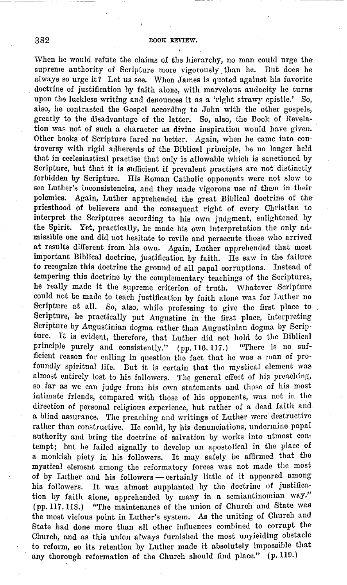When he would refute the claims of the hierarchy, no man could urge the supreme authority of Scripture more vigorously. than he. But does he always so urge it? Let us see. When James is quoted against his favorite doctrine' of justification by faith alone, with marvelous audacity he turns upon the luckless writing and denounces it as a 'right strawy epistle.' So, also, he contrasted the Gospel according to John with the other gospels, greatly to the disadvantage of the latter. So, also, the Book of Revelation was not of such a character as divine inspiration would have given. Other books of Scripture fared no better. Again, when he came into controversy with rigid adherents of the Biblical principle, he no longer held that in ecclesiastical practise that only is allowable which is sanctioned by Scripture, but that it is sufficient if prevalent practises are not distinctly forbidden by Scripture. His Roman Catholic opponents were not slow to see Luther's inconsistencies, and they made vigorous use of them in their polemics. Again, Luther apprehended the great Biblical doctrine of the priesthood of believers and the consequent right of every Christian to interpret the Scriptures according to his own judgment, enlightened by the Spirit. Yet, practically, he made his own interpretation the only admissible one and did not hesitate to revile and persecute those who arrived at results different from his own. Again, Luther apprehended that most important Biblical doctrine, justification by faith. He saw in the failure to recognize this doctrine the ground of all papal corruptions. Instead of tempering this doctrine by the complementary teachings of the Scriptures, he really made it the supreme criterion of truth. Whatever Scripture could not be made to teach justification by faith alone was for Luther no Scripture at all. So, also, while professing to give the first place to. Scripture, he practically put Augustine in the first place, interpreting Scripture by Augustinian dogma rather than Augustinian dogma by Scripture. It is evident, therefore, that Luther did not hold to the Biblical principle purely and consistently." (nn. 116, 117.) "There is no sufprinciple purely and consistently." (pp. 116. 117.) ficient reason for calling in question the fact that he was a man of profoundly spiritual life. But it is certain that the mystical element was almost entirely lost to his followers. The general effect of his preaching, so far as we can judge from his own statements and those of his most intimate friends, compared with those of his opponents, was not in the direction of personal religious experience, but rather of a dead faith and a blind assurance. The preaching and writings of Luther were destructive rather than constructive. He could, by his denunciations, undermine papal authority and bring the doctrine of salvation by works into utmost con· tempt; but he failed signally to develop an apostolical in the place of a monkish piety in his followers. It may safely be affirmed that the mystical element among the reformatory forces was not made the most of by Luther and his followers - certainly little of it appeared among his followers. It was almost supplanted by the doctrine of justification by faith alone, apprehended by many in a semiantinomian way.'' (pp.117.118.) "The maintenance of the union of Church and State was the most vicious point in Luther's system. As the uniting of Church and State had done more than all other influences combined to corrupt the Church, and as this union always furnished the most unyielding obstacle to reform, so its retention by Luther made it absolutely impossible that any thorough reformation of the Church should find place." (p. 119.)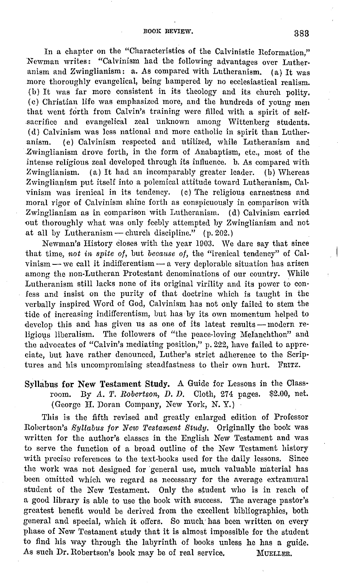In a chapter on the "Characteristics of the Calvinistic Reformation," Newman writes: "Calvinism had the following advantages over Lutheranism and Zwinglianism: a. As compared with Lutheranism. (a) It was more thoroughly evangelical, being hampered by no ecclesiastical realism. (b) It was far more consistent in its theology and its church polity. ( c) Christian life was emphasized more, and the hundreds of young men that went forth from Calvin's training were filled with a spirit of self- .sacrifice and evangelical zeal unknown among Wittenberg students. ( d) Calvinism was less national and more catholic in spirit than Lutheranism. (e) Calvinism respected and utilized, while Lutheranism and Zwinglianism drove forth, in the form of Anabaptism, etc., most of the intense religious zeal developed through its influence. b. As compared with Zwinglianism. (a) It had an incomparably greater leader. (b) Whereas Zwinglianism put itself into a polemical attitude toward Lutheranism, Calvinism was irenical in its tendency. (c) The religious earnestness and moral rigor of Calvinism shine forth as conspicuously in comparison with Zwinglianism as in comparison with Lutheranism. ( d) Calvinism carried out thoroughly what was only feebly attempted by Zwinglianism and not at all by Lutheranism — church discipline."  $(p. 202.)$ 

Newman's History closes with the year 1903. We dare say that since that time, *not in spite of,* but *because of,* the "irenical tendency" of Cal $vining \rightarrow we call it indifferentism \rightarrow a \, very \, denorable situation has arisen$ among the non-Lutheran Protestant denominations of our country. While Lutheranism still lacks none of its original virility and its power to con· fess and insist on the purity of that doctrine which is taught in the verbally inspired Word of God, Calvinism has not only failed to stem the tide of increasing indifferentism, but has by its own momentum helped to develop this and has given us as one of its latest results - modern religious liberalism. The followers of "the peace-loving Melanchthon" and the advocates of "Calvin's mediating position," p. 222, have failed to appre· ciate, but have rather denounced, Luther's strict adherence to the Scrip· tures and his uncompromising steadfastness to their own hurt. FRITZ.

Syllabus for New Testament Study. A Guide for Lessons in the Classroom. By *A. T. Robertson, D. D.* Cloth, 274 pages. \$2.00, net. (George II. Doran Company, New York, N. Y.)

This is the fifth revised and greatly enlarged edition of Professor Robertson's *Syllabus for New Testament Study.* Originally the book was written for the author's classes in the English New Testament and was to serve the function of a broad outline of the New Testament history with precise references to the text-books used for the daily lessons. Since the work was not designed for general use, much valuable material has been omitted which we regard as necessary for the average extramural student of the New Testament. Only the student who is in reach of a good library is able to use the book with success. The average pastor's greatest benefit would be derived from the excellent bibliographies, both general and special, which it offers. So much: has been written on every phase of New Testament study that it is almost impossible for the student to find his way through the labyrinth of books unless he has a guide. As such Dr. Robertson's book may be of real service. MUELLER,